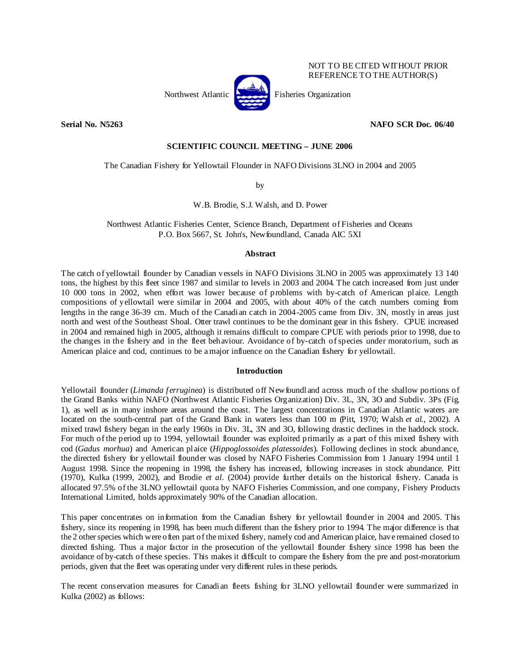

NOT TO BE CITED WITHOUT PRIOR REFERENCE TO THE AUTHOR(S)

**Serial No. N5263 NAFO SCR Doc. 06/40** 

# **SCIENTIFIC COUNCIL MEETING – JUNE 2006**

The Canadian Fishery for Yellowtail Flounder in NAFO Divisions 3LNO in 2004 and 2005

by

W.B. Brodie, S.J. Walsh, and D. Power

Northwest Atlantic Fisheries Center, Science Branch, Department of Fisheries and Oceans P.O. Box 5667, St. John's, Newfoundland, Canada AIC 5XI

# **Abstract**

The catch of yellowtail flounder by Canadian vessels in NAFO Divisions 3LNO in 2005 was approximately 13 140 tons, the highest by this fleet since 1987 and similar to levels in 2003 and 2004. The catch increased from just under 10 000 tons in 2002, when effort was lower because of problems with by-catch of American plaice. Length compositions of yellowtail were similar in 2004 and 2005, with about 40% of the catch numbers coming from lengths in the range 36-39 cm. Much of the Canadian catch in 2004-2005 came from Div. 3N, mostly in areas just north and west of the Southeast Shoal. Otter trawl continues to be the dominant gear in this fishery. CPUE increased in 2004 and remained high in 2005, although it remains difficult to compare CPUE with periods prior to 1998, due to the changes in the fishery and in the fleet behaviour. Avoidance of by-catch of species under moratorium, such as American plaice and cod, continues to be a major influence on the Canadian fishery for yellowtail.

# **Introduction**

Yellowtail flounder (*Limanda ferruginea*) is distributed off Newfoundland across much of the shallow portions of the Grand Banks within NAFO (Northwest Atlantic Fisheries Organization) Div. 3L, 3N, 3O and Subdiv. 3Ps (Fig. 1), as well as in many inshore areas around the coast. The largest concentrations in Canadian Atlantic waters are located on the south-central part of the Grand Bank in waters less than 100 m (Pitt, 1970; Walsh *et al*., 2002). A mixed trawl fishery began in the early 1960s in Div. 3L, 3N and 3O, following drastic declines in the haddock stock. For much of the period up to 1994, yellowtail flounder was exploited primarily as a part of this mixed fishery with cod (*Gadus morhua*) and American plaice (*Hippoglossoides platessoides*). Following declines in stock abundance, the directed fishery for yellowtail flounder was closed by NAFO Fisheries Commission from 1 January 1994 until 1 August 1998. Since the reopening in 1998, the fishery has increased, following increases in stock abundance. Pitt (1970), Kulka (1999, 2002), and Brodie *et al*. (2004) provide further details on the historical fishery. Canada is allocated 97.5% of the 3LNO yellowtail quota by NAFO Fisheries Commission, and one company, Fishery Products International Limited, holds approximately 90% of the Canadian allocation.

This paper concentrates on information from the Canadian fishery for yellowtail flounder in 2004 and 2005. This fishery, since its reopening in 1998, has been much different than the fishery prior to 1994. The major difference is that the 2 other species which were often part of the mixed fishery, namely cod and American plaice, have remained closed to directed fishing. Thus a major factor in the prosecution of the yellowtail flounder fishery since 1998 has been the avoidance of by-catch of these species. This makes it difficult to compare the fishery from the pre and post-moratorium periods, given that the fleet was operating under very different rules in these periods.

The recent conservation measures for Canadian fleets fishing for 3LNO yellowtail flounder were summarized in Kulka (2002) as follows: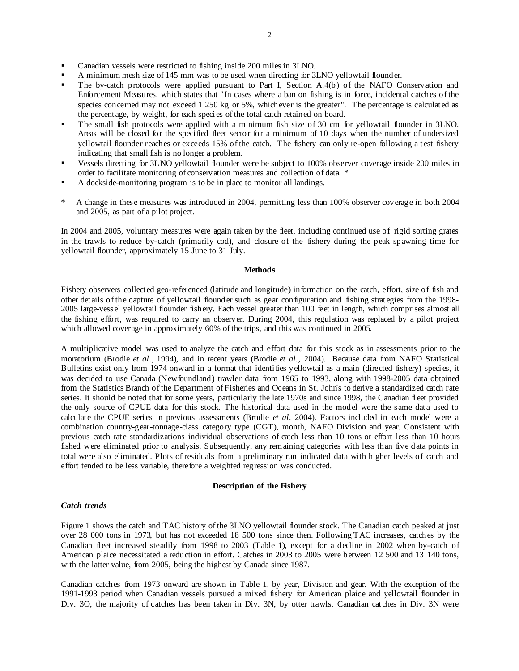- Canadian vessels were restricted to fishing inside 200 miles in 3LNO.
- A minimum mesh size of 145 mm was to be used when directing for 3LNO yellowtail flounder.
- The by-catch protocols were applied pursuant to Part I, Section A.4(b) of the NAFO Conservation and Enforcement Measures, which states that "In cases where a ban on fishing is in force, incidental catches of the species concerned may not exceed 1 250 kg or 5%, whichever is the greater". The percentage is calculated as the percentage, by weight, for each species of the total catch retained on board.
- The small fish protocols were applied with a minimum fish size of 30 cm for yellowtail flounder in 3LNO. Areas will be closed for the specified fleet sector for a minimum of 10 days when the number of undersized yellowtail flounder reaches or exceeds 15% of the catch. The fishery can only re-open following a test fishery indicating that small fish is no longer a problem.
- Vessels directing for 3LNO yellowtail flounder were be subject to 100% observer coverage inside 200 miles in order to facilitate monitoring of conservation measures and collection of data. \*
- A dockside-monitoring program is to be in place to monitor all landings.
- \* A change in these measures was introduced in 2004, permitting less than 100% observer coverage in both 2004 and 2005, as part of a pilot project.

In 2004 and 2005, voluntary measures were again taken by the fleet, including continued use of rigid sorting grates in the trawls to reduce by-catch (primarily cod), and closure of the fishery during the peak spawning time for yellowtail flounder, approximately 15 June to 31 July.

### **Methods**

Fishery observers collected geo-referenced (latitude and longitude) information on the catch, effort, size of fish and other details of the capture of yellowtail flounder such as gear configuration and fishing strategies from the 1998- 2005 large-vessel yellowtail flounder fishery. Each vessel greater than 100 feet in length, which comprises almost all the fishing effort, was required to carry an observer. During 2004, this regulation was replaced by a pilot project which allowed coverage in approximately 60% of the trips, and this was continued in 2005.

A multiplicative model was used to analyze the catch and effort data for this stock as in assessments prior to the moratorium (Brodie *et al*., 1994), and in recent years (Brodie *et al*., 2004). Because data from NAFO Statistical Bulletins exist only from 1974 onward in a format that identifies yellowtail as a main (directed fishery) species, it was decided to use Canada (Newfoundland) trawler data from 1965 to 1993, along with 1998-2005 data obtained from the Statistics Branch of the Department of Fisheries and Oceans in St. John's to derive a standardized catch rate series. It should be noted that for some years, particularly the late 1970s and since 1998, the Canadian fleet provided the only source of CPUE data for this stock. The historical data used in the model were the same data used to calculate the CPUE series in previous assessments (Brodie *et al*. 2004). Factors included in each model were a combination country-gear-tonnage-class category type (CGT), month, NAFO Division and year. Consistent with previous catch rate standardizations individual observations of catch less than 10 tons or effort less than 10 hours fished were eliminated prior to analysis. Subsequently, any remaining categories with less than five data points in total were also eliminated. Plots of residuals from a preliminary run indicated data with higher levels of catch and effort tended to be less variable, therefore a weighted regression was conducted.

# **Description of the Fishery**

#### *Catch trends*

Figure 1 shows the catch and TAC history of the 3LNO yellowtail flounder stock. The Canadian catch peaked at just over 28 000 tons in 1973, but has not exceeded 18 500 tons since then. Following TAC increases, catches by the Canadian fleet increased steadily from 1998 to 2003 (Table 1), except for a decline in 2002 when by-catch of American plaice necessitated a reduction in effort. Catches in 2003 to 2005 were between 12 500 and 13 140 tons, with the latter value, from 2005, being the highest by Canada since 1987.

Canadian catches from 1973 onward are shown in Table 1, by year, Division and gear. With the exception of the 1991-1993 period when Canadian vessels pursued a mixed fishery for American plaice and yellowtail flounder in Div. 3O, the majority of catches has been taken in Div. 3N, by otter trawls. Canadian catches in Div. 3N were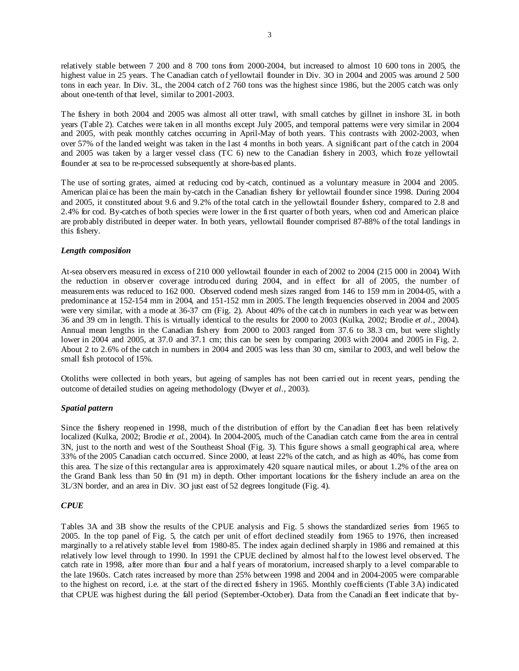relatively stable between 7 200 and 8 700 tons from 2000-2004, but increased to almost 10 600 tons in 2005, the highest value in 25 years. The Canadian catch of yellowtail flounder in Div. 3O in 2004 and 2005 was around 2 500 tons in each year. In Div. 3L, the 2004 catch of 2 760 tons was the highest since 1986, but the 2005 catch was only about one-tenth of that level, similar to 2001-2003.

The fishery in both 2004 and 2005 was almost all otter trawl, with small catches by gillnet in inshore 3L in both years (Table 2). Catches were taken in all months except July 2005, and temporal patterns were very similar in 2004 and 2005, with peak monthly catches occurring in April-May of both years. This contrasts with 2002-2003, when over 57% of the landed weight was taken in the last 4 months in both years. A significant part of the catch in 2004 and 2005 was taken by a larger vessel class (TC 6) new to the Canadian fishery in 2003, which froze yellowtail flounder at sea to be re-processed subsequently at shore-based plants.

The use of sorting grates, aimed at reducing cod by-catch, continued as a voluntary measure in 2004 and 2005. American plaice has been the main by-catch in the Canadian fishery for yellowtail flounder since 1998. During 2004 and 2005, it constituted about 9.6 and 9.2% of the total catch in the yellowtail flounder fishery, compared to 2.8 and 2.4% for cod. By-catches of both species were lower in the first quarter of both years, when cod and American plaice are probably distributed in deeper water. In both years, yellowtail flounder comprised 87-88% of the total landings in this fishery.

# *Length composition*

At-sea observers measured in excess of 210 000 yellowtail flounder in each of 2002 to 2004 (215 000 in 2004). With the reduction in observer coverage introduced during 2004, and in effect for all of 2005, the number of measurements was reduced to 162 000. Observed codend mesh sizes ranged from 146 to 159 mm in 2004-05, with a predominance at 152-154 mm in 2004, and 151-152 mm in 2005. The length frequencies observed in 2004 and 2005 were very similar, with a mode at 36-37 cm (Fig. 2). About 40% of the catch in numbers in each year was between 36 and 39 cm in length. This is virtually identical to the results for 2000 to 2003 (Kulka, 2002; Brodie *et al*., 2004). Annual mean lengths in the Canadian fishery from 2000 to 2003 ranged from 37.6 to 38.3 cm, but were slightly lower in 2004 and 2005, at 37.0 and 37.1 cm; this can be seen by comparing 2003 with 2004 and 2005 in Fig. 2. About 2 to 2.6% of the catch in numbers in 2004 and 2005 was less than 30 cm, similar to 2003, and well below the small fish protocol of 15%.

Otoliths were collected in both years, but ageing of samples has not been carried out in recent years, pending the outcome of detailed studies on ageing methodology (Dwyer *et al*., 2003).

# *Spatial pattern*

Since the fishery reopened in 1998, much of the distribution of effort by the Canadian fleet has been relatively localized (Kulka, 2002; Brodie *et al*., 2004). In 2004-2005, much of the Canadian catch came from the area in central 3N, just to the north and west of the Southeast Shoal (Fig. 3). This figure shows a small geographical area, where 33% of the 2005 Canadian catch occurred. Since 2000, at least 22% of the catch, and as high as 40%, has come from this area. The size of this rectangular area is approximately 420 square nautical miles, or about 1.2% of the area on the Grand Bank less than 50 fm (91 m) in depth. Other important locations for the fishery include an area on the 3L/3N border, and an area in Div. 3O just east of 52 degrees longitude (Fig. 4).

# *CPUE*

Tables 3A and 3B show the results of the CPUE analysis and Fig. 5 shows the standardized series from 1965 to 2005. In the top panel of Fig. 5, the catch per unit of effort declined steadily from 1965 to 1976, then increased marginally to a relatively stable level from 1980-85. The index again declined sharply in 1986 and remained at this relatively low level through to 1990. In 1991 the CPUE declined by almost half to the lowest level observed. The catch rate in 1998, after more than four and a half years of moratorium, increased sharply to a level comparable to the late 1960s. Catch rates increased by more than 25% between 1998 and 2004 and in 2004-2005 were comparable to the highest on record, i.e. at the start of the directed fishery in 1965. Monthly coefficients (Table 3A) indicated that CPUE was highest during the fall period (September-October). Data from the Canadian fleet indicate that by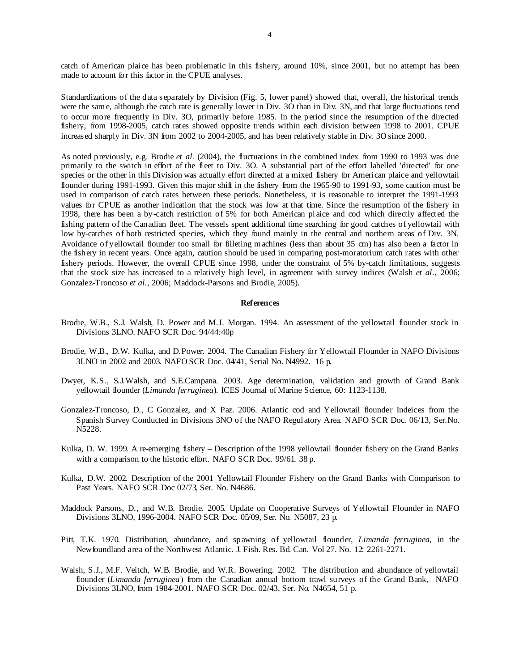catch of American plaice has been problematic in this fishery, around 10%, since 2001, but no attempt has been made to account for this factor in the CPUE analyses.

Standardizations of the data separately by Division (Fig. 5, lower panel) showed that, overall, the historical trends were the same, although the catch rate is generally lower in Div. 3O than in Div. 3N, and that large fluctuations tend to occur more frequently in Div. 3O, primarily before 1985. In the period since the resumption of the directed fishery, from 1998-2005, catch rates showed opposite trends within each division between 1998 to 2001. CPUE increased sharply in Div. 3N from 2002 to 2004-2005, and has been relatively stable in Div. 3O since 2000.

As noted previously, e.g. Brodie *et al.* (2004), the fluctuations in the combined index from 1990 to 1993 was due primarily to the switch in effort of the fleet to Div. 3O. A substantial part of the effort labelled 'directed' for one species or the other in this Division was actually effort directed at a mixed fishery for American plaice and yellowtail flounder during 1991-1993. Given this major shift in the fishery from the 1965-90 to 1991-93, some caution must be used in comparison of catch rates between these periods. Nonetheless, it is reasonable to interpret the 1991-1993 values for CPUE as another indication that the stock was low at that time. Since the resumption of the fishery in 1998, there has been a by-catch restriction of 5% for both American plaice and cod which directly affected the fishing pattern of the Canadian fleet. The vessels spent additional time searching for good catches of yellowtail with low by-catches of both restricted species, which they found mainly in the central and northern areas of Div. 3N. Avoidance of yellowtail flounder too small for filleting machines (less than about 35 cm) has also been a factor in the fishery in recent years. Once again, caution should be used in comparing post-moratorium catch rates with other fishery periods. However, the overall CPUE since 1998, under the constraint of 5% by-catch limitations, suggests that the stock size has increased to a relatively high level, in agreement with survey indices (Walsh *et al*., 2006; Gonzalez-Troncoso *et al.*, 2006; Maddock-Parsons and Brodie, 2005).

#### **References**

- Brodie, W.B., S.J. Walsh, D. Power and M.J. Morgan. 1994. An assessment of the yellowtail flounder stock in Divisions 3LNO. NAFO SCR Doc. 94/44:40p
- Brodie, W.B., D.W. Kulka, and D.Power. 2004. The Canadian Fishery for Yellowtail Flounder in NAFO Divisions 3LNO in 2002 and 2003. NAFO SCR Doc. 04/41, Serial No. N4992. 16 p.
- Dwyer, K.S., S.J.Walsh, and S.E.Campana. 2003. Age determination, validation and growth of Grand Bank yellowtail flounder (*Limanda ferruginea*). ICES Journal of Marine Science, 60: 1123-1138.
- Gonzalez-Troncoso, D., C Gonzalez, and X Paz. 2006. Atlantic cod and Yellowtail flounder Indeices from the Spanish Survey Conducted in Divisions 3NO of the NAFO Regulatory Area. NAFO SCR Doc. 06/13, Ser.No. N5228.
- Kulka, D. W. 1999. A re-emerging fishery Description of the 1998 yellowtail flounder fishery on the Grand Banks with a comparison to the historic effort. NAFO SCR Doc. 99/61. 38 p.
- Kulka, D.W. 2002. Description of the 2001 Yellowtail Flounder Fishery on the Grand Banks with Comparison to Past Years. NAFO SCR Doc 02/73, Ser. No. N4686.
- Maddock Parsons, D., and W.B. Brodie. 2005. Update on Cooperative Surveys of Yellowtail Flounder in NAFO Divisions 3LNO, 1996-2004. NAFO SCR Doc. 05/09, Ser. No. N5087, 23 p.
- Pitt, T.K. 1970. Distribution, abundance, and spawning of yellowtail flounder, *Limanda ferruginea*, in the Newfoundland area of the Northwest Atlantic. J. Fish. Res. Bd. Can. Vol 27. No. 12: 2261-2271.
- Walsh, S.J., M.F. Veitch, W.B. Brodie, and W.R. Bowering. 2002. The distribution and abundance of yellowtail flounder (*Limanda ferruginea*) from the Canadian annual bottom trawl surveys of the Grand Bank, NAFO Divisions 3LNO, from 1984-2001. NAFO SCR Doc. 02/43, Ser. No. N4654, 51 p.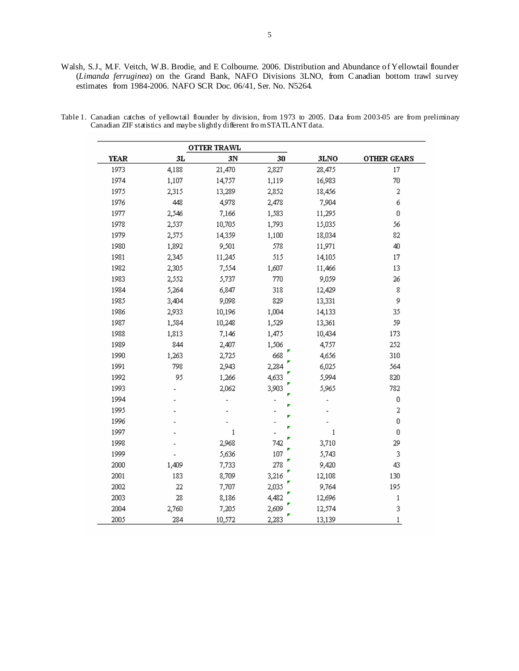Walsh, S.J., M.F. Veitch, W.B. Brodie, and E Colbourne. 2006. Distribution and Abundance of Yellowtail flounder (*Limanda ferruginea*) on the Grand Bank, NAFO Divisions 3LNO, from C anadian bottom trawl survey estimates from 1984-2006. NAFO SCR Doc. 06/41, Ser. No. N5264.

|  | Table 1. Canadian catches of yellowtail flounder by division, from 1973 to 2005. Data from 2003-05 are from preliminary |  |  |  |  |  |  |  |
|--|-------------------------------------------------------------------------------------------------------------------------|--|--|--|--|--|--|--|
|  | Canadian ZIF statistics and maybe slightly different from STATLANT data.                                                |  |  |  |  |  |  |  |

|             |       | OTTER TRAWL  |       |        |             |
|-------------|-------|--------------|-------|--------|-------------|
| <b>YEAR</b> | 3L    | 3N           | 30    | 3LNO   | OTHER GEARS |
| 1973        | 4,188 | 21,470       | 2,827 | 28,475 | 17          |
| 1974        | 1,107 | 14,757       | 1,119 | 16,983 | 70          |
| 1975        | 2,315 | 13,289       | 2,852 | 18,456 | 2           |
| 1976        | 448   | 4,978        | 2,478 | 7,904  | 6           |
| 1977        | 2,546 | 7,166        | 1,583 | 11,295 | 0           |
| 1978        | 2,537 | 10,705       | 1,793 | 15,035 | 56          |
| 1979        | 2,575 | 14,359       | 1,100 | 18,034 | 82          |
| 1980        | 1,892 | 9,501        | 578   | 11,971 | 40          |
| 1981        | 2,345 | 11,245       | 515   | 14,105 | 17          |
| 1982        | 2,305 | 7,554        | 1,607 | 11,466 | 13          |
| 1983        | 2,552 | 5,737        | 770   | 9,059  | 26          |
| 1984        | 5,264 | 6,847        | 318   | 12,429 | 8           |
| 1985        | 3,404 | 9,098        | 829   | 13,331 | 9           |
| 1986        | 2,933 | 10,196       | 1,004 | 14,133 | 35          |
| 1987        | 1,584 | 10,248       | 1,529 | 13,361 | 59          |
| 1988        | 1,813 | 7,146        | 1,475 | 10,434 | 173         |
| 1989        | 844   | 2,407        | 1,506 | 4,757  | 252         |
| 1990        | 1,263 | 2,725        | 668   | 4,656  | 310         |
| 1991        | 798   | 2,943        | 2,284 | 6,025  | 564         |
| 1992        | 95    | 1,266        | 4,633 | 5,994  | 820         |
| 1993        |       | 2,062        | 3,903 | 5,965  | 782         |
| 1994        |       |              |       |        | 0           |
| 1995        |       |              |       |        | 2           |
| 1996        |       |              |       |        | 0           |
| 1997        |       | $\mathbf{1}$ |       | 1      | 0           |
| 1998        |       | 2,968        | 742   | 3,710  | 29          |
| 1999        |       | 5,636        | 107   | 5,743  | 3           |
| 2000        | 1,409 | 7,733        | 278   | 9,420  | 43          |
| 2001        | 183   | 8,709        | 3,216 | 12,108 | 130         |
| 2002        | 22    | 7,707        | 2,035 | 9,764  | 195         |
| 2003        | 28    | 8,186        | 4,482 | 12,696 | 1           |
| 2004        | 2,760 | 7,205        | 2,609 | 12,574 | 3           |
| 2005        | 284   | 10,572       | 2,283 | 13,139 | $\,1$       |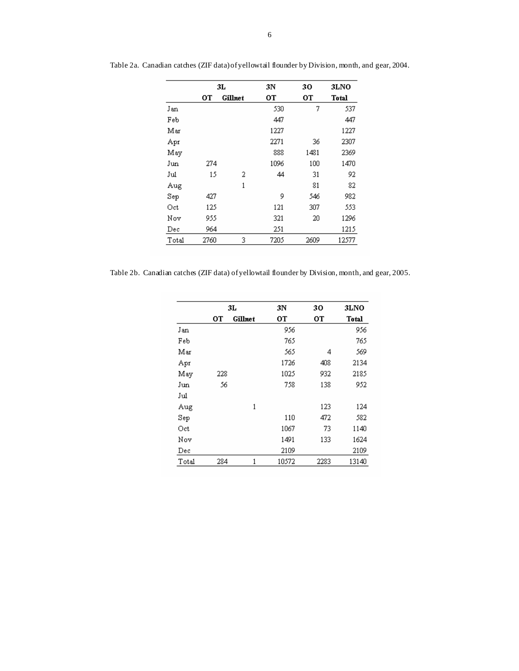|              |      | 3L      | 3N   | 30   | 3LNO  |
|--------------|------|---------|------|------|-------|
|              | OТ   | Gillnet | OТ   | OТ   | Total |
| Jan          |      |         | 530  | 7    | 537   |
| Feb          |      |         | 447  |      | 447   |
| Mar          |      |         | 1227 |      | 1227  |
| Apr          |      |         | 2271 | 36   | 2307  |
| May          |      |         | 888  | 1481 | 2369  |
| Jun          | 274  |         | 1096 | 100  | 1470  |
| Jul          | 15   | 2       | 44   | 31   | 92    |
| Aug          |      | 1       |      | 81   | 82    |
| $_{\rm Sep}$ | 427  |         | 9    | 546  | 982   |
| Oct          | 125  |         | 121  | 307  | 553   |
| Nov          | 955  |         | 321  | 20   | 1296  |
| $_{\rm Dec}$ | 964  |         | 251  |      | 1215  |
| Total        | 2760 | 3       | 7205 | 2609 | 12577 |

Table 2a. Canadian catches (ZIF data) of yellowtail flounder by Division, month, and gear, 2004.

Table 2b. Canadian catches (ZIF data) of yellowtail flounder by Division, month, and gear, 2005.

|              | 3L  |         | 3N    | 30   | 3LNO  |  |
|--------------|-----|---------|-------|------|-------|--|
|              | OТ  | Gillnet | OТ    | OТ   | Total |  |
| Jan          |     |         | 956   |      | 956   |  |
| Feb          |     |         | 765   |      | 765   |  |
| Mar          |     |         | 565   | 4    | 569   |  |
| Apr          |     |         | 1726  | 408  | 2134  |  |
| May          | 228 |         | 1025  | 932  | 2185  |  |
| Jun          | 56  |         | 758   | 138  | 952   |  |
| Jul          |     |         |       |      |       |  |
| Aug          |     | 1       |       | 123  | 124   |  |
| $_{\rm Sep}$ |     |         | 110   | 472  | 582   |  |
| Oct          |     |         | 1067  | 73   | 1140  |  |
| Nov          |     |         | 1491  | 133  | 1624  |  |
| Dec          |     |         | 2109  |      | 2109  |  |
| Total        | 284 | 1       | 10572 | 2283 | 13140 |  |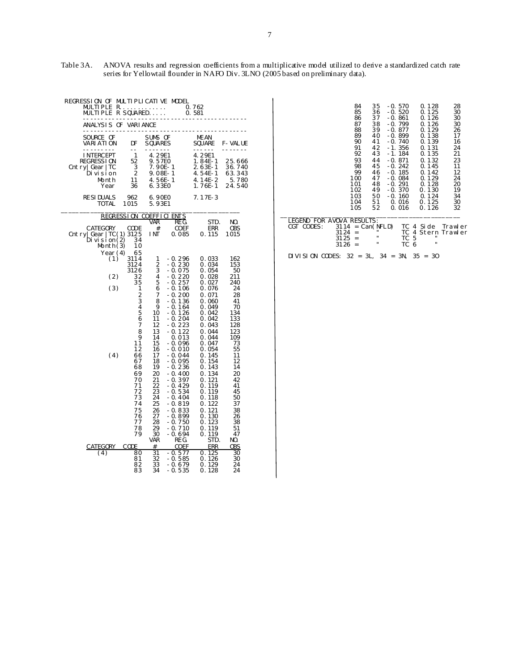| Table 3A. | ANOVA results and regression coefficients from a multiplicative model utilized to derive a standardized catch rate |
|-----------|--------------------------------------------------------------------------------------------------------------------|
|           | series for Yellowtail flounder in NAFO Div. 3LNO (2005 based on preliminary data).                                 |

| REGRESSION OF<br>R. .<br>MULTIPLE<br>MULTIPLE                                  | $R$ SQUARED                                                                                                                        |                                                                                                                      | MULTIPLICATIVE MODEL                                                                                                                                                                                              | 0.762<br>0.581                                                                                                                                                                   |                                                                                                                          |
|--------------------------------------------------------------------------------|------------------------------------------------------------------------------------------------------------------------------------|----------------------------------------------------------------------------------------------------------------------|-------------------------------------------------------------------------------------------------------------------------------------------------------------------------------------------------------------------|----------------------------------------------------------------------------------------------------------------------------------------------------------------------------------|--------------------------------------------------------------------------------------------------------------------------|
| ANALYSIS                                                                       | OF VARIANCE                                                                                                                        |                                                                                                                      |                                                                                                                                                                                                                   |                                                                                                                                                                                  |                                                                                                                          |
| SOURCE OF<br>VARI ATI ON<br>$- - - - - - -$                                    | DF<br>$-$                                                                                                                          | SUMS OF<br><b>SQUARES</b><br>$- - - - - -$                                                                           |                                                                                                                                                                                                                   | <b>ME AN</b><br><b>SQUARE</b><br>------                                                                                                                                          | F-VALUE                                                                                                                  |
| <b>INTERCEPT</b><br>REGRESS I ON<br>Cntry Gear TC<br>Division<br>Month<br>Year | 1<br>52<br>3<br>$\overline{2}$<br>11<br>36                                                                                         | 4.29E1<br>9.57E0<br>7.90E-1<br>$9.08E - 1$<br>$4.56E - 1$<br>6.33E0                                                  |                                                                                                                                                                                                                   | 4.29E1<br>$1.84E-1$<br>$2.63E-1$<br>$4.54E - 1$<br>$4.14E - 2$<br>$1.76E-1$                                                                                                      | 25.666<br>36.740<br>63.343<br>5.780<br>24.540                                                                            |
| <b>RESIDUALS</b><br>TOTAL                                                      | 962<br>1015                                                                                                                        | 6.90E0<br>5.93E1                                                                                                     |                                                                                                                                                                                                                   | $7.17E-3$                                                                                                                                                                        |                                                                                                                          |
| <b>REGRESSION</b>                                                              |                                                                                                                                    | <b>COEFFICI</b>                                                                                                      | <b>ENTS</b>                                                                                                                                                                                                       |                                                                                                                                                                                  |                                                                                                                          |
| <b>CATEGORY</b><br>Cntry   Gear   TC (1) 3125<br>(2) bi vi si on<br>(3) Month  | COD E<br>34<br>10                                                                                                                  | var<br>#<br>I NT                                                                                                     | REG.<br><b>COEF</b><br>0.085                                                                                                                                                                                      | STD.<br><b>ERR</b><br>0.115                                                                                                                                                      | NO.<br><b>OBS</b><br>1015                                                                                                |
| Year $(4)$ $(1)$<br>(2)<br>(3)                                                 | 65<br>3114<br>3124<br>3126<br>$\overline{3}\overline{2}$<br>35<br>1<br>$\overline{c}$<br>$\overline{3}$<br>4<br>5                  | 1<br>$\overline{2}$<br>$\frac{3}{4}$<br>5<br>6<br>$\overline{7}$<br>8<br>9<br>10                                     | $-0.296$<br>$-0.230$<br>$-0.075$<br>$-0.220$<br>$-0.257$<br>$-0.106$<br>$-0.200$<br>$-0.136$<br>- 0. 164<br>$-0.126$<br>$-0.204$                                                                                  | 0.033<br>0.034<br>0.054<br>0.028<br>0.027<br>0.076<br>0.071<br>0.060<br>0.049<br>0.042                                                                                           | 162<br>153<br>50<br>211<br>240<br>24<br>28<br>41<br>70<br>134                                                            |
| (4)                                                                            | $\ddot{\mathbf{6}}$<br>7<br>8<br>9<br>11<br>12<br>66<br>67<br>68<br>69<br>70<br>71<br>72<br>73<br>74<br>75<br>76<br>77<br>78<br>79 | 11<br>12<br>13<br>14<br>15<br>16<br>17<br>18<br>19<br>20<br>21<br>22<br>23<br>24<br>25<br>26<br>27<br>28<br>29<br>30 | $-0.223$<br>$-0.122$<br>0.013<br>-0.096<br>-0.010<br>$-0.044$<br>$-0.095$<br>-0.236<br>$-0.400$<br>$-0.397$<br>$-0.429$<br>$-0.534$<br>$-0.404$<br>-0.819<br>$-0.833$<br>-0.899<br>$-0.750$<br>$-0.710$<br>-0.694 | 0.042<br>0.043<br>0.044<br>0.044<br>0.047<br>0.054<br>0.145<br>0.154<br>0.143<br>0.134<br>0.121<br>0.119<br>0.119<br>0.118<br>0.122<br>0.121<br>0.130<br>0.123<br>0.119<br>0.119 | 133<br>128<br>123<br>109<br>73<br>55<br>11<br>12<br>14<br>20<br>42<br>41<br>45<br>50<br>37<br>38<br>26<br>38<br>51<br>47 |
| <b>CATEGORY</b><br>(4)                                                         | CODE<br>80<br>81<br>82<br>83                                                                                                       | <b>VAR</b><br>#<br>31<br>32<br>33<br>34                                                                              | REG.<br><b>COEF</b><br>$-0.577$<br>$-0.585$<br>$-0.679$<br>$-0.535$                                                                                                                                               | STD.<br><b>ERR</b><br>0.125<br>0.126<br>0.129<br>0.128                                                                                                                           | NO.<br><b>OBS</b><br>30<br>30<br>24<br>24                                                                                |

|                                                                                 | 84<br>85<br>86<br>87<br>88<br>89<br>90<br>91<br>92<br>93<br>98<br>99<br>100<br>101<br>102<br>103<br>104<br>105 | 35<br>36<br>37<br>38<br>39<br>40<br>41<br>42<br>43<br>44<br>45<br>46<br>47<br>48<br>49<br>50<br>51<br>52 | -0. 570<br>$-0.520$<br>$-0.861$<br>$-0.799$<br>-0.877<br>$-0.899$<br>$-0.740$<br>$-1.356$<br>$-1.184$<br>$-0.871$<br>$-0.242$<br>$-0.185$<br>-0.084<br>$-0.291$<br>$-0.370$<br>-0. 160<br>0.016<br>0.016 | 0.128<br>0.125<br>0.126<br>0.126<br>0.129<br>0.138<br>0.139<br>0.131<br>0.135<br>0.132<br>0.145<br>0.142<br>0.129<br>0.128<br>0.130<br>0.124<br>0.125<br>0.126 | 28<br>30<br>30<br>30<br>26<br>17<br>16<br>24<br>21<br>23<br>11<br>12<br>24<br>20<br>19<br>34<br>30<br>32 |
|---------------------------------------------------------------------------------|----------------------------------------------------------------------------------------------------------------|----------------------------------------------------------------------------------------------------------|----------------------------------------------------------------------------------------------------------------------------------------------------------------------------------------------------------|----------------------------------------------------------------------------------------------------------------------------------------------------------------|----------------------------------------------------------------------------------------------------------|
| LEGEND FOR AVOVA RESULTS:<br>CGT CODES:<br>3114<br>3124<br>$3125 =$<br>$3126 =$ | $=$                                                                                                            | $=$ Can(NFLD)<br><br>п<br>п                                                                              | ТC<br>TC <sub>5</sub><br>TC 6                                                                                                                                                                            | TC 4 Side<br>4<br>$\blacksquare$<br>$\blacksquare$                                                                                                             | Trawler<br>Stern Trawler                                                                                 |
| DIVISION CODES: $32 = 3L$ , $34 = 3N$ ,                                         |                                                                                                                |                                                                                                          |                                                                                                                                                                                                          | $35 = 30$                                                                                                                                                      |                                                                                                          |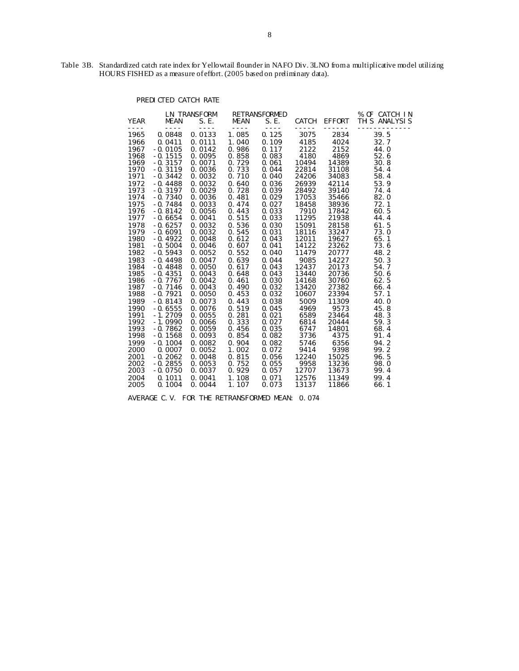Table 3B. Standardized catch rate index for Yellowtail flounder in NAFO Div. 3LNO from a multiplicative model utilizing HOURS FISHED as a measure of effort. (2005 based on preliminary data).

# PREDICTED CATCH RATE

|              | <b>LN TRANSFORM</b>    |                   |                          | <b>RETRANSFORMED</b> |                |                | % OF CATCH IN               |
|--------------|------------------------|-------------------|--------------------------|----------------------|----------------|----------------|-----------------------------|
| <b>YEAR</b>  | <b>MEAN</b><br>----    | S.E.<br>$- - - -$ | <b>MEAN</b><br>$- - - -$ | S.E.<br>$- - - -$    | CATCH<br>----- | <b>EFFORT</b>  | THIS ANALYSIS<br>---------- |
| 1965         | 0.0848                 | 0.0133            | 1.085                    | 0.125                | 3075           | 2834           | 39.5                        |
| 1966         | 0.0411                 | 0.0111            | 1.040                    | 0.109                | 4185           | 4024           | 32.7                        |
| 1967         | $-0.0105$              | 0.0142            | 0.986                    | 0.117                | 2122           | 2152           | 44.0                        |
| 1968<br>1969 | $-0.1515$<br>$-0.3157$ | 0.0095<br>0.0071  | 0.858<br>0.729           | 0.083<br>0.061       | 4180<br>10494  | 4869<br>14389  | 52.6<br>30.8                |
| 1970         | $-0.3119$              | 0.0036            | 0.733                    | 0.044                | 22814          | 31108          | 54.4                        |
| 1971         | $-0.3442$              | 0.0032            | 0.710                    | 0.040                | 24206          | 34083          | 58.4                        |
| 1972         | $-0.4488$              | 0.0032            | 0.640                    | 0.036                | 26939          | 42114          | 53.9                        |
| 1973         | $-0.3197$              | 0.0029            | 0.728                    | 0.039                | 28492          | 39140          | 74.4                        |
| 1974<br>1975 | $-0.7340$<br>$-0.7484$ | 0.0036<br>0.0033  | 0.481<br>0.474           | 0.029<br>0.027       | 17053<br>18458 | 35466<br>38936 | 82.0<br>72.1                |
| 1976         | $-0.8142$              | 0.0056            | 0.443                    | 0.033                | 7910           | 17842          | 60.5                        |
| 1977         | $-0.6654$              | 0.0041            | 0.515                    | 0.033                | 11295          | 21938          | 44.4                        |
| 1978         | $-0.6257$              | 0.0032            | 0.536                    | 0.030                | 15091          | 28158          | 61.5                        |
| 1979         | $-0.6091$              | 0.0032            | 0.545                    | 0.031                | 18116          | 33247          | 73.0                        |
| 1980<br>1981 | $-0.4922$<br>$-0.5004$ | 0.0048<br>0.0046  | 0.612<br>0.607           | 0.043<br>0.041       | 12011<br>14122 | 19627<br>23262 | 65.1<br>73.6                |
| 1982         | $-0.5943$              | 0.0052            | 0.552                    | 0.040                | 11479          | 20777          | 48.2                        |
| 1983         | $-0.4498$              | 0.0047            | 0.639                    | 0.044                | 9085           | 14227          | 50.3                        |
| 1984         | $-0.4848$              | 0.0050            | 0.617                    | 0.043                | 12437          | 20173          | 54.7                        |
| 1985         | $-0.4351$              | 0.0043            | 0.648                    | 0.043                | 13440          | 20736          | 50.6                        |
| 1986<br>1987 | $-0.7767$<br>$-0.7146$ | 0.0042<br>0.0043  | 0.461<br>0.490           | 0.030<br>0.032       | 14168<br>13420 | 30760<br>27382 | 62.5                        |
| 1988         | $-0.7921$              | 0.0050            | 0.453                    | 0.032                | 10607          | 23394          | 66.4<br>57.1                |
| 1989         | $-0.8143$              | 0.0073            | 0.443                    | 0.038                | 5009           | 11309          | 40.0                        |
| 1990         | $-0.6555$              | 0.0076            | 0.519                    | 0.045                | 4969           | 9573           | 45.8                        |
| 1991         | $-1.2709$              | 0.0055            | 0.281                    | 0.021                | 6589           | 23464          | 48.3                        |
| 1992         | $-1.0990$              | 0.0066            | 0.333                    | 0.027                | 6814           | 20444          | 59.3                        |
| 1993<br>1998 | $-0.7862$<br>$-0.1568$ | 0.0059<br>0.0093  | 0.456<br>0.854           | 0.035<br>0.082       | 6747<br>3736   | 14801<br>4375  | 68.4<br>91.4                |
| 1999         | $-0.1004$              | 0.0082            | 0.904                    | 0.082                | 5746           | 6356           | 94.2                        |
| 2000         | 0.0007                 | 0.0052            | 1.002                    | 0.072                | 9414           | 9398           | 99.2                        |
| 2001         | $-0.2062$              | 0.0048            | 0.815                    | 0.056                | 12240          | 15025          | 96.5                        |
| 2002         | $-0.2855$              | 0.0053            | 0.752                    | 0.055                | 9958           | 13236          | 98.0                        |
| 2003<br>2004 | $-0.0750$<br>0.1011    | 0.0037<br>0.0041  | 0.929<br>1.108           | 0.057<br>0.071       | 12707<br>12576 | 13673<br>11349 | 99.4<br>99.4                |
| 2005         | 0.1004                 | 0.0044            | 1.107                    | 0.073                | 13137          | 11866          | 66.1                        |
|              |                        |                   |                          |                      |                |                |                             |

AVERAGE C.V. FOR THE RETRANSFORMED MEAN: 0.074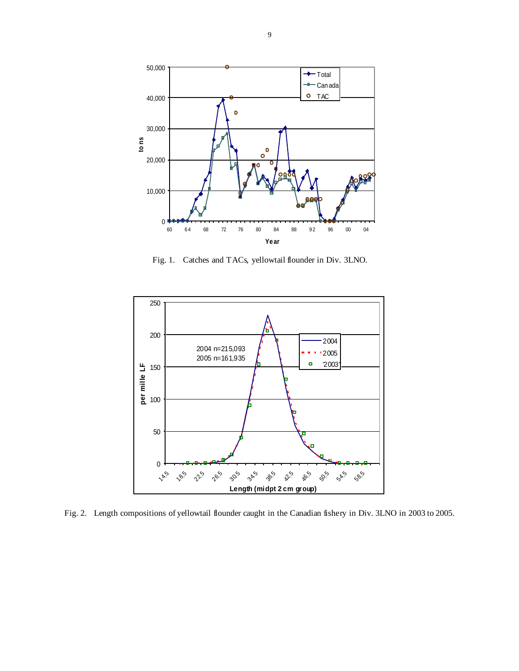

Fig. 1. Catches and TACs, yellowtail flounder in Div. 3LNO.



Fig. 2. Length compositions of yellowtail flounder caught in the Canadian fishery in Div. 3LNO in 2003 to 2005.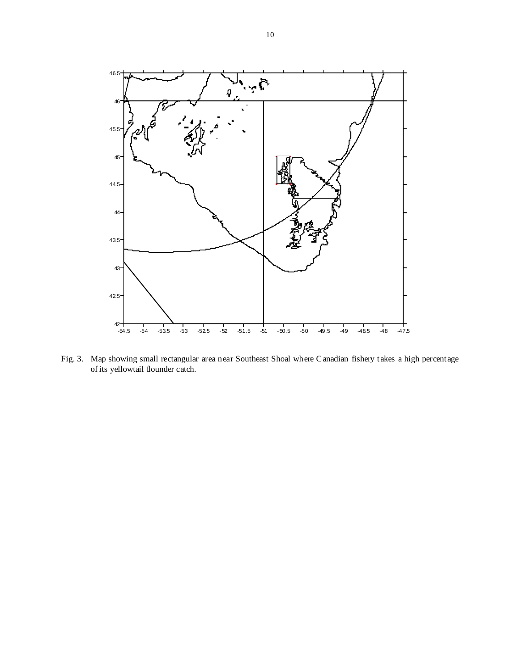

Fig. 3. Map showing small rectangular area near Southeast Shoal where C anadian fishery takes a high percentage of its yellowtail flounder catch.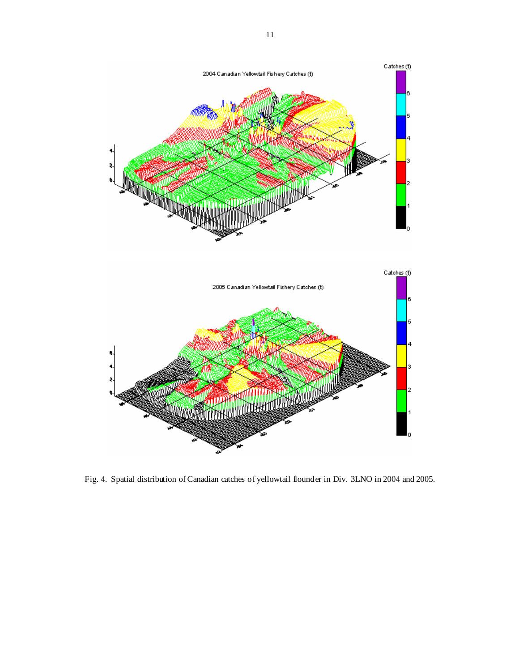

Fig. 4. Spatial distribution of Canadian catches of yellowtail flounder in Div. 3LNO in 2004 and 2005.